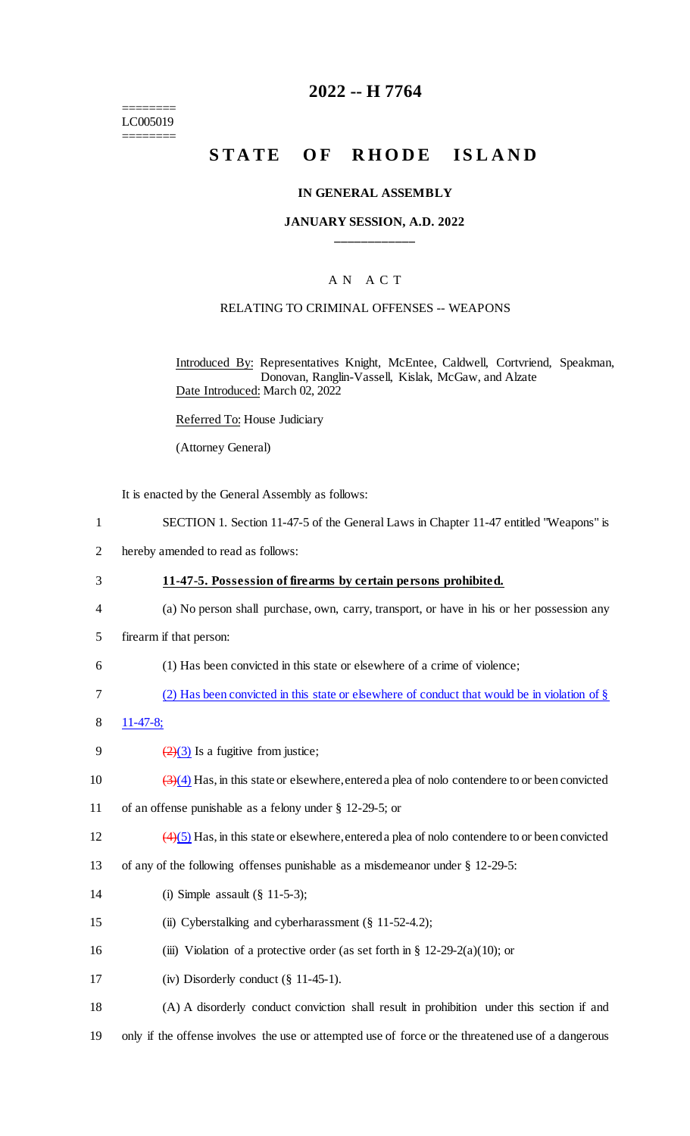======== LC005019 ========

### **2022 -- H 7764**

# **STATE OF RHODE ISLAND**

#### **IN GENERAL ASSEMBLY**

#### **JANUARY SESSION, A.D. 2022 \_\_\_\_\_\_\_\_\_\_\_\_**

#### A N A C T

#### RELATING TO CRIMINAL OFFENSES -- WEAPONS

Introduced By: Representatives Knight, McEntee, Caldwell, Cortvriend, Speakman, Donovan, Ranglin-Vassell, Kislak, McGaw, and Alzate Date Introduced: March 02, 2022

Referred To: House Judiciary

(Attorney General)

It is enacted by the General Assembly as follows:

- 1 SECTION 1. Section 11-47-5 of the General Laws in Chapter 11-47 entitled "Weapons" is
- 2 hereby amended to read as follows:
- 3 **11-47-5. Possession of firearms by certain persons prohibited.** 4 (a) No person shall purchase, own, carry, transport, or have in his or her possession any 5 firearm if that person: 6 (1) Has been convicted in this state or elsewhere of a crime of violence; 7 (2) Has been convicted in this state or elsewhere of conduct that would be in violation of § 8 11-47-8; 9  $\frac{2}{(2)(3)}$  Is a fugitive from justice; 10  $\left(\frac{3}{4}\right)$  Has, in this state or elsewhere, entered a plea of nolo contendere to or been convicted 11 of an offense punishable as a felony under § 12-29-5; or 12  $\left(4\right)\left(5\right)$  Has, in this state or elsewhere, entered a plea of nolo contendere to or been convicted 13 of any of the following offenses punishable as a misdemeanor under § 12-29-5: 14 (i) Simple assault (§ 11-5-3); 15 (ii) Cyberstalking and cyberharassment (§ 11-52-4.2); 16 (iii) Violation of a protective order (as set forth in  $\S$  12-29-2(a)(10); or 17 (iv) Disorderly conduct (§ 11-45-1). 18 (A) A disorderly conduct conviction shall result in prohibition under this section if and 19 only if the offense involves the use or attempted use of force or the threatened use of a dangerous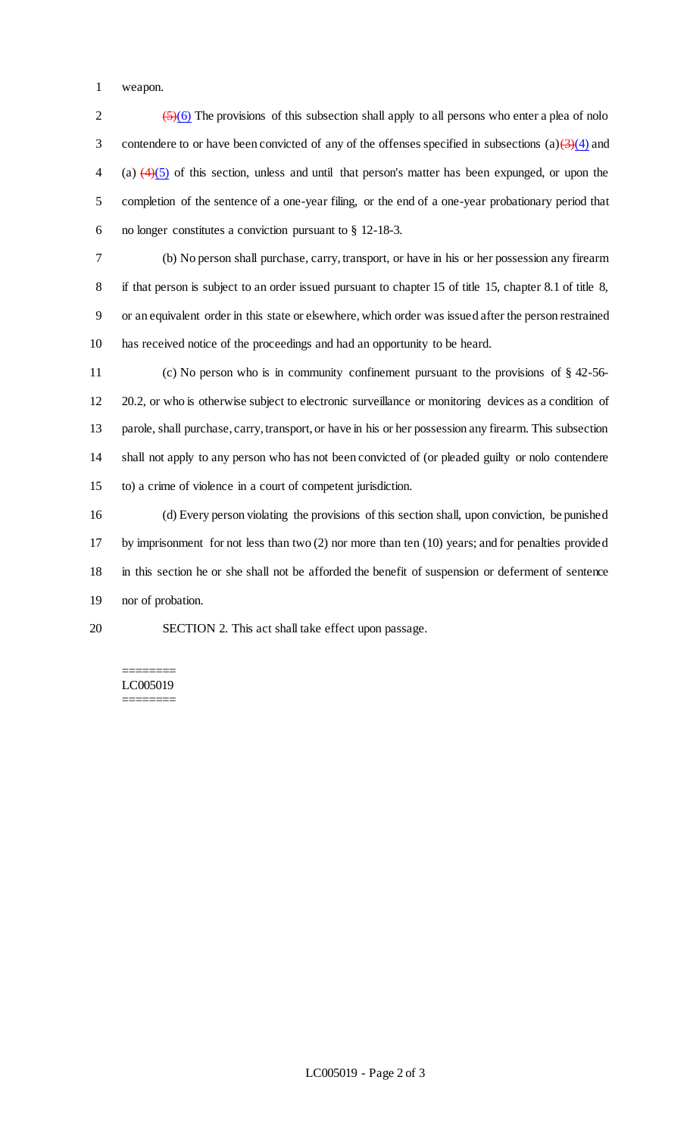weapon.

 $\frac{(5)}{(6)}$  The provisions of this subsection shall apply to all persons who enter a plea of nolo 3 contendere to or have been convicted of any of the offenses specified in subsections (a) $\left(\frac{3}{4}\right)$  and 4 (a)  $\left(4\right)\left(5\right)$  of this section, unless and until that person's matter has been expunged, or upon the completion of the sentence of a one-year filing, or the end of a one-year probationary period that no longer constitutes a conviction pursuant to § 12-18-3.

 (b) No person shall purchase, carry, transport, or have in his or her possession any firearm if that person is subject to an order issued pursuant to chapter 15 of title 15, chapter 8.1 of title 8, or an equivalent order in this state or elsewhere, which order was issued after the person restrained has received notice of the proceedings and had an opportunity to be heard.

 (c) No person who is in community confinement pursuant to the provisions of § 42-56- 20.2, or who is otherwise subject to electronic surveillance or monitoring devices as a condition of parole, shall purchase, carry, transport, or have in his or her possession any firearm. This subsection shall not apply to any person who has not been convicted of (or pleaded guilty or nolo contendere to) a crime of violence in a court of competent jurisdiction.

 (d) Every person violating the provisions of this section shall, upon conviction, be punished by imprisonment for not less than two (2) nor more than ten (10) years; and for penalties provided in this section he or she shall not be afforded the benefit of suspension or deferment of sentence nor of probation.

SECTION 2. This act shall take effect upon passage.

### ======== LC005019

========